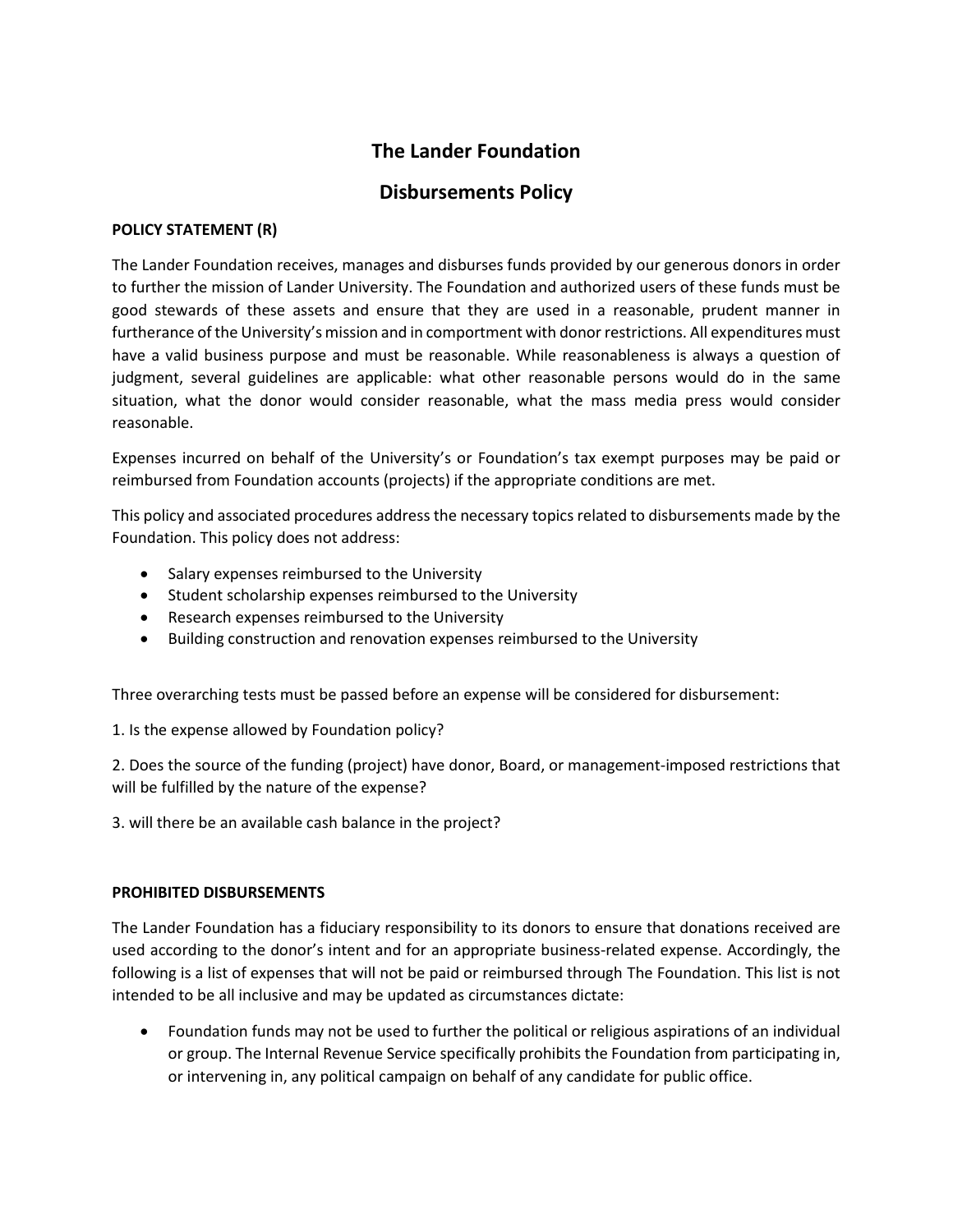# **The Lander Foundation**

# **Disbursements Policy**

### **POLICY STATEMENT (R)**

The Lander Foundation receives, manages and disburses funds provided by our generous donors in order to further the mission of Lander University. The Foundation and authorized users of these funds must be good stewards of these assets and ensure that they are used in a reasonable, prudent manner in furtherance of the University's mission and in comportment with donor restrictions. All expenditures must have a valid business purpose and must be reasonable. While reasonableness is always a question of judgment, several guidelines are applicable: what other reasonable persons would do in the same situation, what the donor would consider reasonable, what the mass media press would consider reasonable.

Expenses incurred on behalf of the University's or Foundation's tax exempt purposes may be paid or reimbursed from Foundation accounts (projects) if the appropriate conditions are met.

This policy and associated procedures address the necessary topics related to disbursements made by the Foundation. This policy does not address:

- Salary expenses reimbursed to the University
- Student scholarship expenses reimbursed to the University
- Research expenses reimbursed to the University
- Building construction and renovation expenses reimbursed to the University

Three overarching tests must be passed before an expense will be considered for disbursement:

1. Is the expense allowed by Foundation policy?

2. Does the source of the funding (project) have donor, Board, or management-imposed restrictions that will be fulfilled by the nature of the expense?

3. will there be an available cash balance in the project?

#### **PROHIBITED DISBURSEMENTS**

The Lander Foundation has a fiduciary responsibility to its donors to ensure that donations received are used according to the donor's intent and for an appropriate business-related expense. Accordingly, the following is a list of expenses that will not be paid or reimbursed through The Foundation. This list is not intended to be all inclusive and may be updated as circumstances dictate:

 Foundation funds may not be used to further the political or religious aspirations of an individual or group. The Internal Revenue Service specifically prohibits the Foundation from participating in, or intervening in, any political campaign on behalf of any candidate for public office.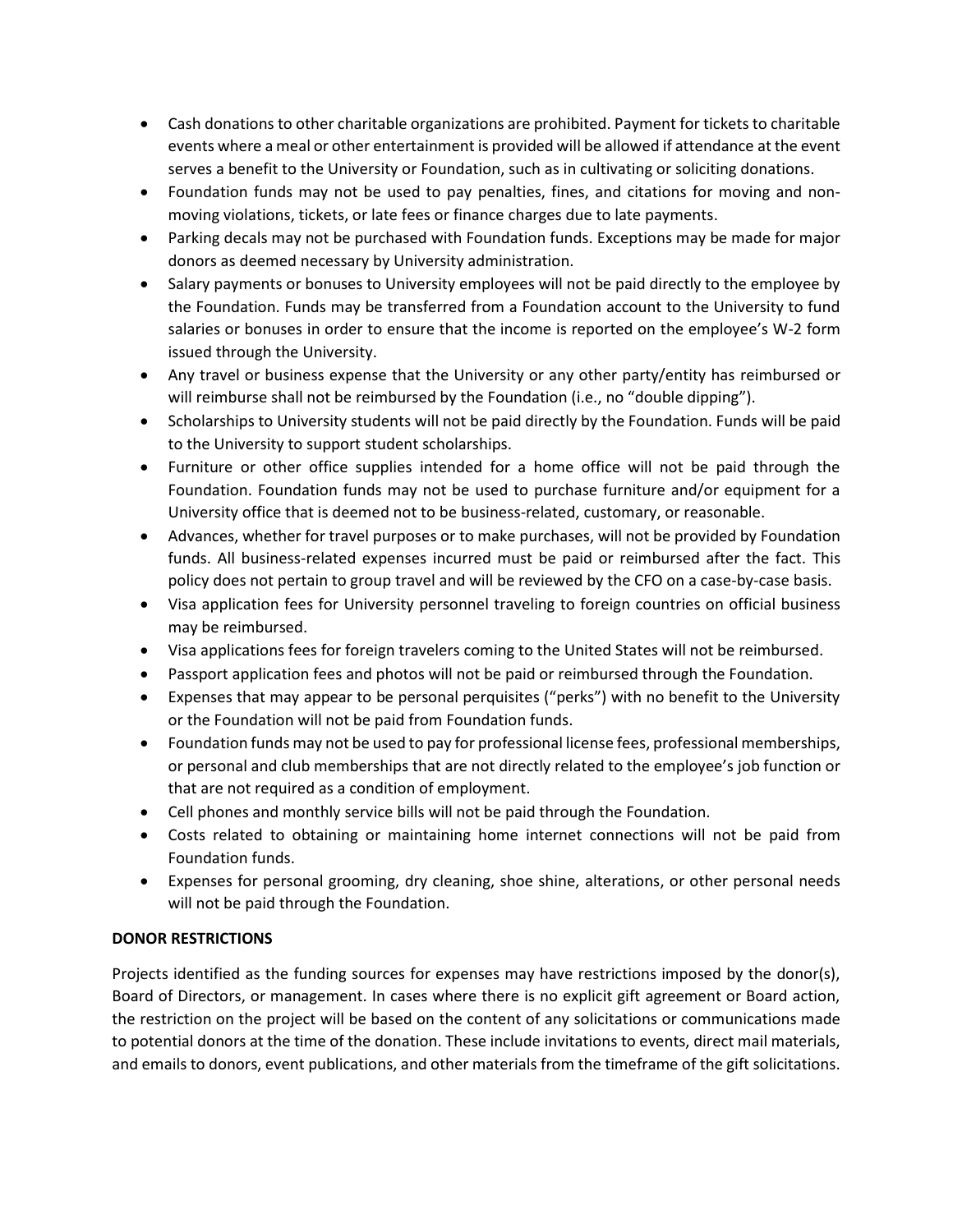- Cash donations to other charitable organizations are prohibited. Payment for tickets to charitable events where a meal or other entertainment is provided will be allowed if attendance at the event serves a benefit to the University or Foundation, such as in cultivating or soliciting donations.
- Foundation funds may not be used to pay penalties, fines, and citations for moving and nonmoving violations, tickets, or late fees or finance charges due to late payments.
- Parking decals may not be purchased with Foundation funds. Exceptions may be made for major donors as deemed necessary by University administration.
- Salary payments or bonuses to University employees will not be paid directly to the employee by the Foundation. Funds may be transferred from a Foundation account to the University to fund salaries or bonuses in order to ensure that the income is reported on the employee's W-2 form issued through the University.
- Any travel or business expense that the University or any other party/entity has reimbursed or will reimburse shall not be reimbursed by the Foundation (i.e., no "double dipping").
- Scholarships to University students will not be paid directly by the Foundation. Funds will be paid to the University to support student scholarships.
- Furniture or other office supplies intended for a home office will not be paid through the Foundation. Foundation funds may not be used to purchase furniture and/or equipment for a University office that is deemed not to be business-related, customary, or reasonable.
- Advances, whether for travel purposes or to make purchases, will not be provided by Foundation funds. All business-related expenses incurred must be paid or reimbursed after the fact. This policy does not pertain to group travel and will be reviewed by the CFO on a case-by-case basis.
- Visa application fees for University personnel traveling to foreign countries on official business may be reimbursed.
- Visa applications fees for foreign travelers coming to the United States will not be reimbursed.
- Passport application fees and photos will not be paid or reimbursed through the Foundation.
- Expenses that may appear to be personal perquisites ("perks") with no benefit to the University or the Foundation will not be paid from Foundation funds.
- Foundation funds may not be used to pay for professional license fees, professional memberships, or personal and club memberships that are not directly related to the employee's job function or that are not required as a condition of employment.
- Cell phones and monthly service bills will not be paid through the Foundation.
- Costs related to obtaining or maintaining home internet connections will not be paid from Foundation funds.
- Expenses for personal grooming, dry cleaning, shoe shine, alterations, or other personal needs will not be paid through the Foundation.

# **DONOR RESTRICTIONS**

Projects identified as the funding sources for expenses may have restrictions imposed by the donor(s), Board of Directors, or management. In cases where there is no explicit gift agreement or Board action, the restriction on the project will be based on the content of any solicitations or communications made to potential donors at the time of the donation. These include invitations to events, direct mail materials, and emails to donors, event publications, and other materials from the timeframe of the gift solicitations.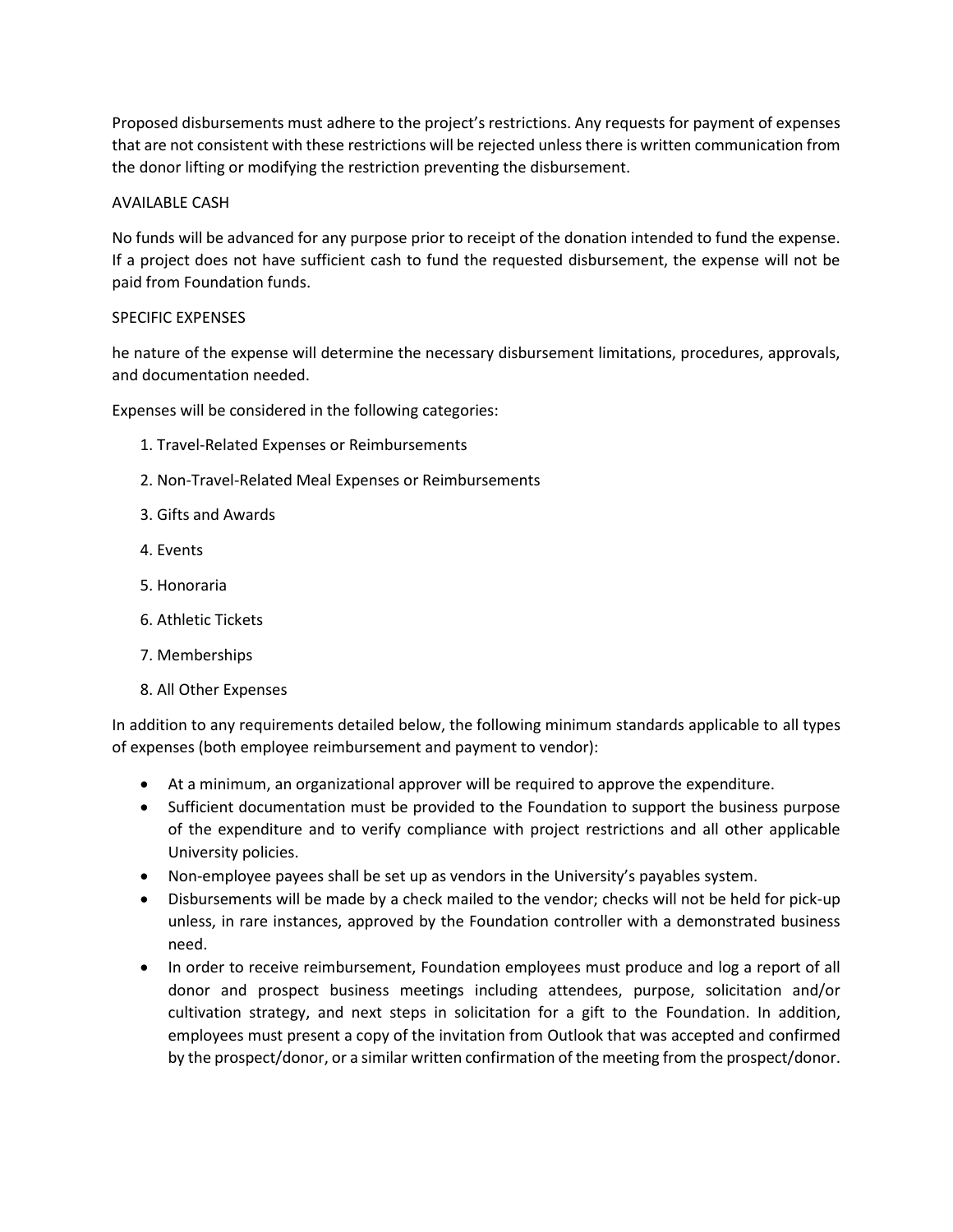Proposed disbursements must adhere to the project's restrictions. Any requests for payment of expenses that are not consistent with these restrictions will be rejected unless there is written communication from the donor lifting or modifying the restriction preventing the disbursement.

### AVAILABLE CASH

No funds will be advanced for any purpose prior to receipt of the donation intended to fund the expense. If a project does not have sufficient cash to fund the requested disbursement, the expense will not be paid from Foundation funds.

### SPECIFIC EXPENSES

he nature of the expense will determine the necessary disbursement limitations, procedures, approvals, and documentation needed.

Expenses will be considered in the following categories:

- 1. Travel-Related Expenses or Reimbursements
- 2. Non-Travel-Related Meal Expenses or Reimbursements
- 3. Gifts and Awards
- 4. Events
- 5. Honoraria
- 6. Athletic Tickets
- 7. Memberships
- 8. All Other Expenses

In addition to any requirements detailed below, the following minimum standards applicable to all types of expenses (both employee reimbursement and payment to vendor):

- At a minimum, an organizational approver will be required to approve the expenditure.
- Sufficient documentation must be provided to the Foundation to support the business purpose of the expenditure and to verify compliance with project restrictions and all other applicable University policies.
- Non-employee payees shall be set up as vendors in the University's payables system.
- Disbursements will be made by a check mailed to the vendor; checks will not be held for pick-up unless, in rare instances, approved by the Foundation controller with a demonstrated business need.
- In order to receive reimbursement, Foundation employees must produce and log a report of all donor and prospect business meetings including attendees, purpose, solicitation and/or cultivation strategy, and next steps in solicitation for a gift to the Foundation. In addition, employees must present a copy of the invitation from Outlook that was accepted and confirmed by the prospect/donor, or a similar written confirmation of the meeting from the prospect/donor.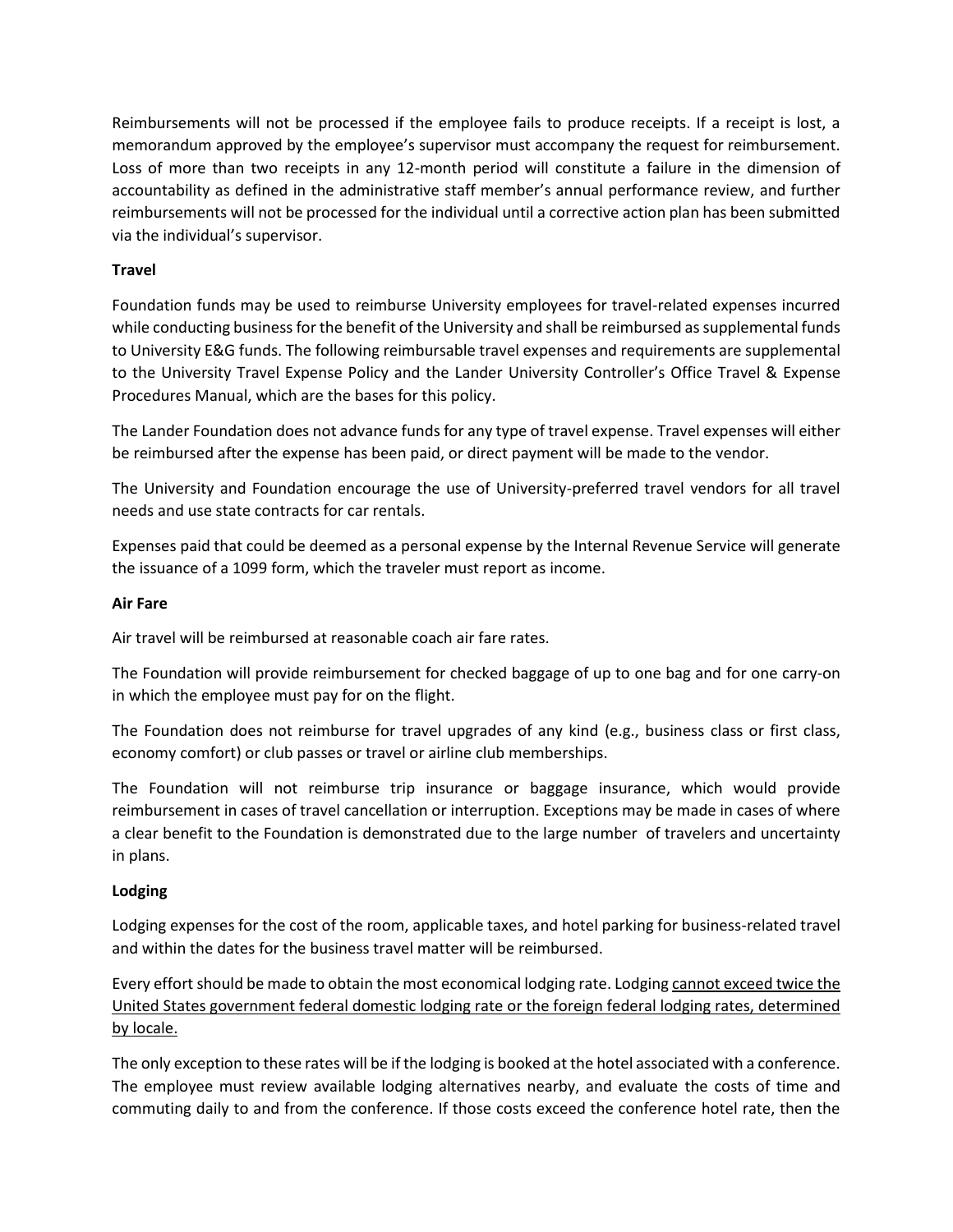Reimbursements will not be processed if the employee fails to produce receipts. If a receipt is lost, a memorandum approved by the employee's supervisor must accompany the request for reimbursement. Loss of more than two receipts in any 12-month period will constitute a failure in the dimension of accountability as defined in the administrative staff member's annual performance review, and further reimbursements will not be processed for the individual until a corrective action plan has been submitted via the individual's supervisor.

# **Travel**

Foundation funds may be used to reimburse University employees for travel-related expenses incurred while conducting business for the benefit of the University and shall be reimbursed as supplemental funds to University E&G funds. The following reimbursable travel expenses and requirements are supplemental to the University Travel Expense Policy and the Lander University Controller's Office Travel & Expense Procedures Manual, which are the bases for this policy.

The Lander Foundation does not advance funds for any type of travel expense. Travel expenses will either be reimbursed after the expense has been paid, or direct payment will be made to the vendor.

The University and Foundation encourage the use of University-preferred travel vendors for all travel needs and use state contracts for car rentals.

Expenses paid that could be deemed as a personal expense by the Internal Revenue Service will generate the issuance of a 1099 form, which the traveler must report as income.

#### **Air Fare**

Air travel will be reimbursed at reasonable coach air fare rates.

The Foundation will provide reimbursement for checked baggage of up to one bag and for one carry-on in which the employee must pay for on the flight.

The Foundation does not reimburse for travel upgrades of any kind (e.g., business class or first class, economy comfort) or club passes or travel or airline club memberships.

The Foundation will not reimburse trip insurance or baggage insurance, which would provide reimbursement in cases of travel cancellation or interruption. Exceptions may be made in cases of where a clear benefit to the Foundation is demonstrated due to the large number of travelers and uncertainty in plans.

#### **Lodging**

Lodging expenses for the cost of the room, applicable taxes, and hotel parking for business-related travel and within the dates for the business travel matter will be reimbursed.

Every effort should be made to obtain the most economical lodging rate. Lodging cannot exceed twice the United States government federal domestic lodging rate or the foreign federal lodging rates, determined by locale.

The only exception to these rates will be if the lodging is booked at the hotel associated with a conference. The employee must review available lodging alternatives nearby, and evaluate the costs of time and commuting daily to and from the conference. If those costs exceed the conference hotel rate, then the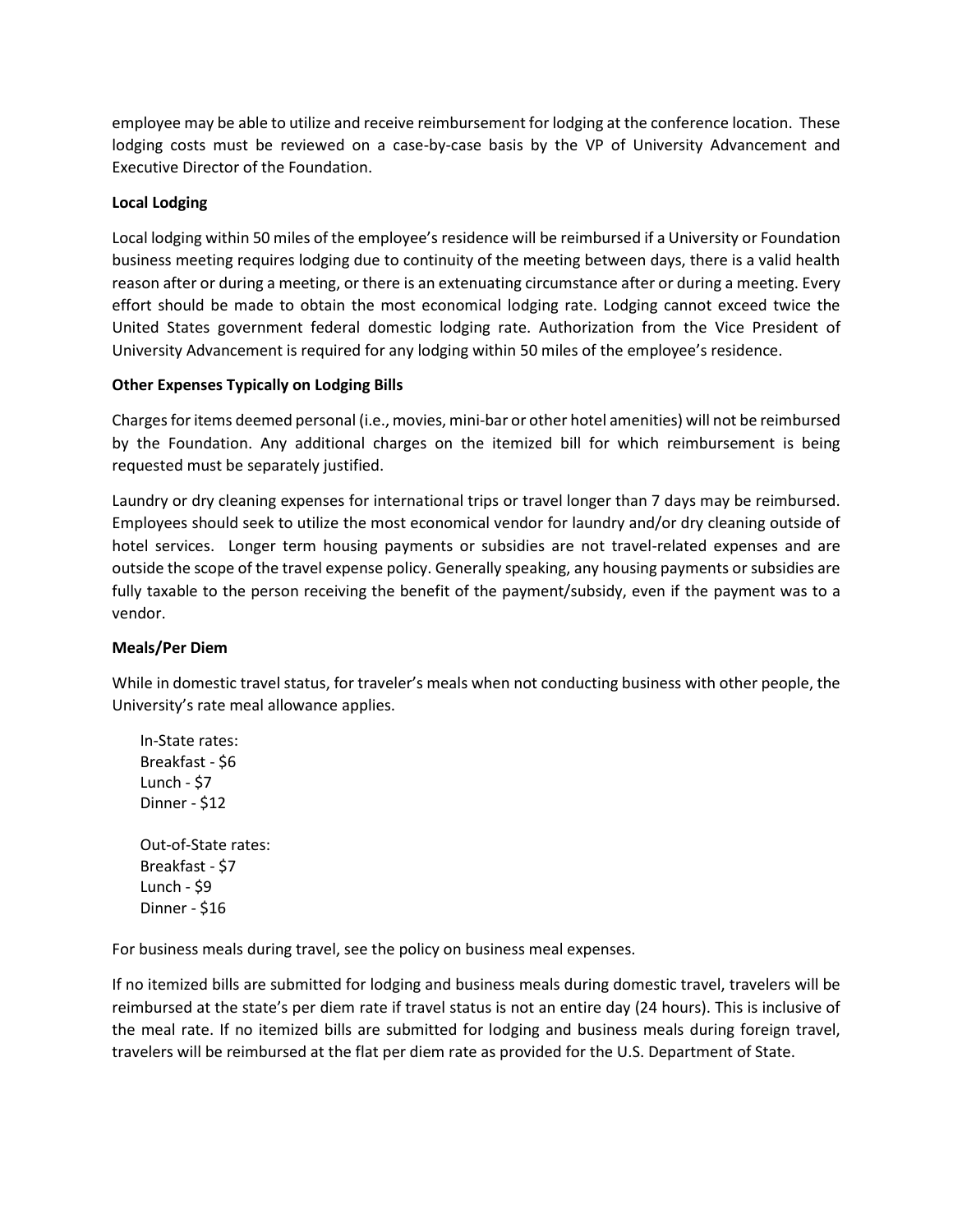employee may be able to utilize and receive reimbursement for lodging at the conference location. These lodging costs must be reviewed on a case-by-case basis by the VP of University Advancement and Executive Director of the Foundation.

# **Local Lodging**

Local lodging within 50 miles of the employee's residence will be reimbursed if a University or Foundation business meeting requires lodging due to continuity of the meeting between days, there is a valid health reason after or during a meeting, or there is an extenuating circumstance after or during a meeting. Every effort should be made to obtain the most economical lodging rate. Lodging cannot exceed twice the United States government federal domestic lodging rate. Authorization from the Vice President of University Advancement is required for any lodging within 50 miles of the employee's residence.

# **Other Expenses Typically on Lodging Bills**

Charges for items deemed personal (i.e., movies, mini-bar or other hotel amenities) will not be reimbursed by the Foundation. Any additional charges on the itemized bill for which reimbursement is being requested must be separately justified.

Laundry or dry cleaning expenses for international trips or travel longer than 7 days may be reimbursed. Employees should seek to utilize the most economical vendor for laundry and/or dry cleaning outside of hotel services. Longer term housing payments or subsidies are not travel-related expenses and are outside the scope of the travel expense policy. Generally speaking, any housing payments or subsidies are fully taxable to the person receiving the benefit of the payment/subsidy, even if the payment was to a vendor.

#### **Meals/Per Diem**

While in domestic travel status, for traveler's meals when not conducting business with other people, the University's rate meal allowance applies.

In-State rates: Breakfast - \$6 Lunch - \$7 Dinner - \$12

Out-of-State rates: Breakfast - \$7 Lunch - \$9 Dinner - \$16

For business meals during travel, see the policy on business meal expenses.

If no itemized bills are submitted for lodging and business meals during domestic travel, travelers will be reimbursed at the state's per diem rate if travel status is not an entire day (24 hours). This is inclusive of the meal rate. If no itemized bills are submitted for lodging and business meals during foreign travel, travelers will be reimbursed at the flat per diem rate as provided for the U.S. Department of State.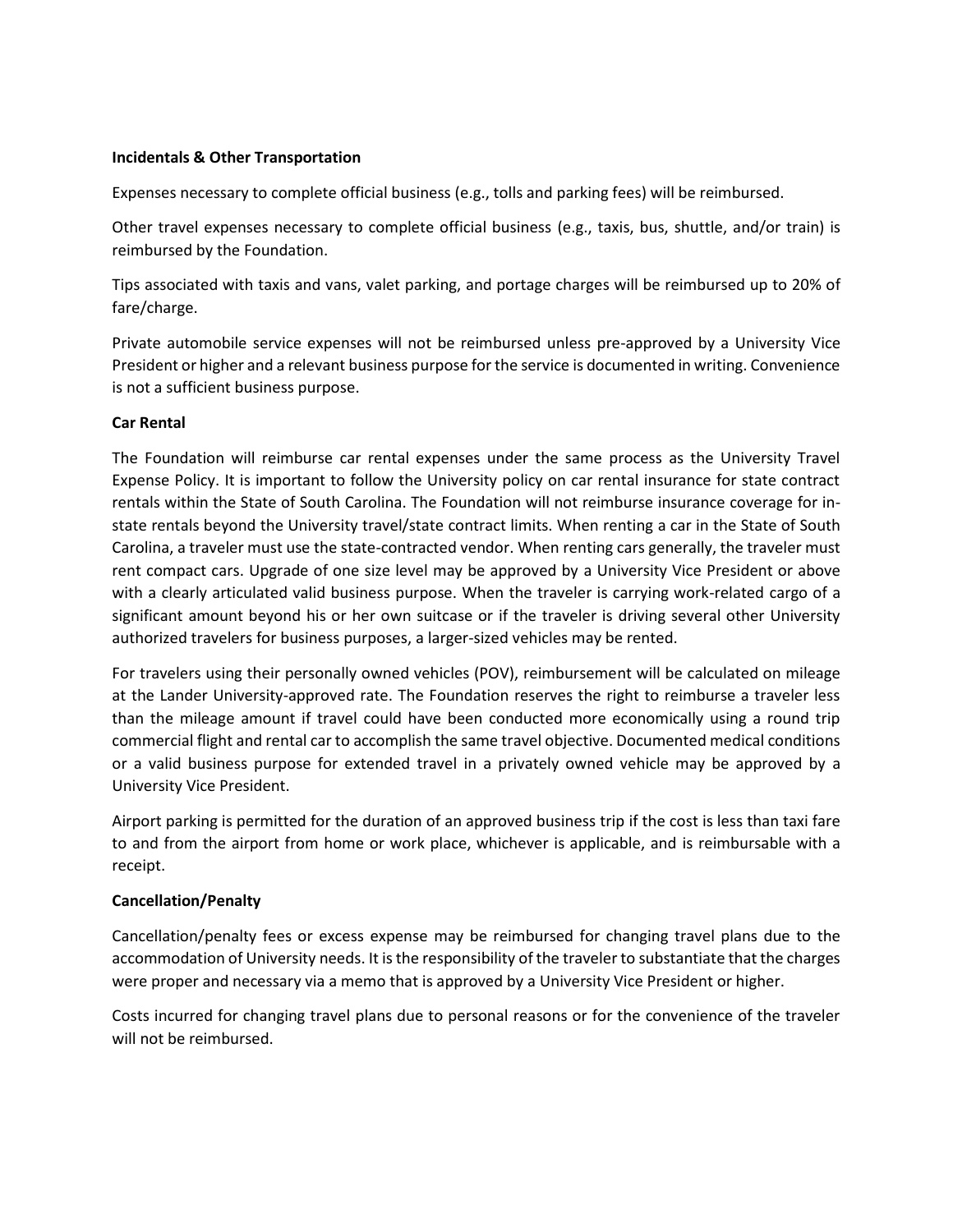#### **Incidentals & Other Transportation**

Expenses necessary to complete official business (e.g., tolls and parking fees) will be reimbursed.

Other travel expenses necessary to complete official business (e.g., taxis, bus, shuttle, and/or train) is reimbursed by the Foundation.

Tips associated with taxis and vans, valet parking, and portage charges will be reimbursed up to 20% of fare/charge.

Private automobile service expenses will not be reimbursed unless pre-approved by a University Vice President or higher and a relevant business purpose for the service is documented in writing. Convenience is not a sufficient business purpose.

#### **Car Rental**

The Foundation will reimburse car rental expenses under the same process as the University Travel Expense Policy. It is important to follow the University policy on car rental insurance for state contract rentals within the State of South Carolina. The Foundation will not reimburse insurance coverage for instate rentals beyond the University travel/state contract limits. When renting a car in the State of South Carolina, a traveler must use the state-contracted vendor. When renting cars generally, the traveler must rent compact cars. Upgrade of one size level may be approved by a University Vice President or above with a clearly articulated valid business purpose. When the traveler is carrying work-related cargo of a significant amount beyond his or her own suitcase or if the traveler is driving several other University authorized travelers for business purposes, a larger-sized vehicles may be rented.

For travelers using their personally owned vehicles (POV), reimbursement will be calculated on mileage at the Lander University-approved rate. The Foundation reserves the right to reimburse a traveler less than the mileage amount if travel could have been conducted more economically using a round trip commercial flight and rental car to accomplish the same travel objective. Documented medical conditions or a valid business purpose for extended travel in a privately owned vehicle may be approved by a University Vice President.

Airport parking is permitted for the duration of an approved business trip if the cost is less than taxi fare to and from the airport from home or work place, whichever is applicable, and is reimbursable with a receipt.

#### **Cancellation/Penalty**

Cancellation/penalty fees or excess expense may be reimbursed for changing travel plans due to the accommodation of University needs. It is the responsibility of the traveler to substantiate that the charges were proper and necessary via a memo that is approved by a University Vice President or higher.

Costs incurred for changing travel plans due to personal reasons or for the convenience of the traveler will not be reimbursed.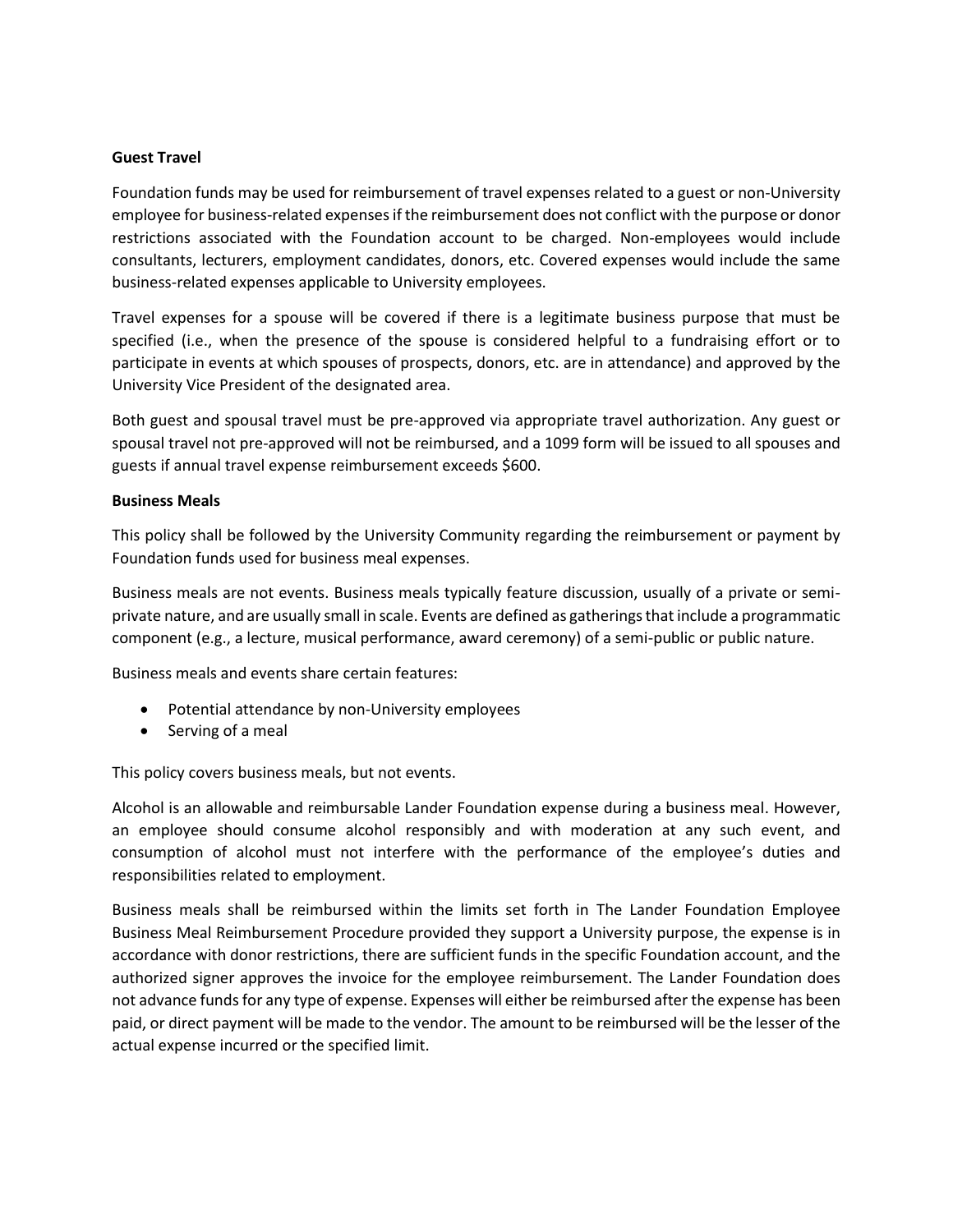#### **Guest Travel**

Foundation funds may be used for reimbursement of travel expenses related to a guest or non-University employee for business-related expenses if the reimbursement does not conflict with the purpose or donor restrictions associated with the Foundation account to be charged. Non-employees would include consultants, lecturers, employment candidates, donors, etc. Covered expenses would include the same business-related expenses applicable to University employees.

Travel expenses for a spouse will be covered if there is a legitimate business purpose that must be specified (i.e., when the presence of the spouse is considered helpful to a fundraising effort or to participate in events at which spouses of prospects, donors, etc. are in attendance) and approved by the University Vice President of the designated area.

Both guest and spousal travel must be pre-approved via appropriate travel authorization. Any guest or spousal travel not pre-approved will not be reimbursed, and a 1099 form will be issued to all spouses and guests if annual travel expense reimbursement exceeds \$600.

#### **Business Meals**

This policy shall be followed by the University Community regarding the reimbursement or payment by Foundation funds used for business meal expenses.

Business meals are not events. Business meals typically feature discussion, usually of a private or semiprivate nature, and are usually small in scale. Events are defined as gatherings that include a programmatic component (e.g., a lecture, musical performance, award ceremony) of a semi-public or public nature.

Business meals and events share certain features:

- Potential attendance by non-University employees
- Serving of a meal

This policy covers business meals, but not events.

Alcohol is an allowable and reimbursable Lander Foundation expense during a business meal. However, an employee should consume alcohol responsibly and with moderation at any such event, and consumption of alcohol must not interfere with the performance of the employee's duties and responsibilities related to employment.

Business meals shall be reimbursed within the limits set forth in The Lander Foundation Employee Business Meal Reimbursement Procedure provided they support a University purpose, the expense is in accordance with donor restrictions, there are sufficient funds in the specific Foundation account, and the authorized signer approves the invoice for the employee reimbursement. The Lander Foundation does not advance funds for any type of expense. Expenses will either be reimbursed after the expense has been paid, or direct payment will be made to the vendor. The amount to be reimbursed will be the lesser of the actual expense incurred or the specified limit.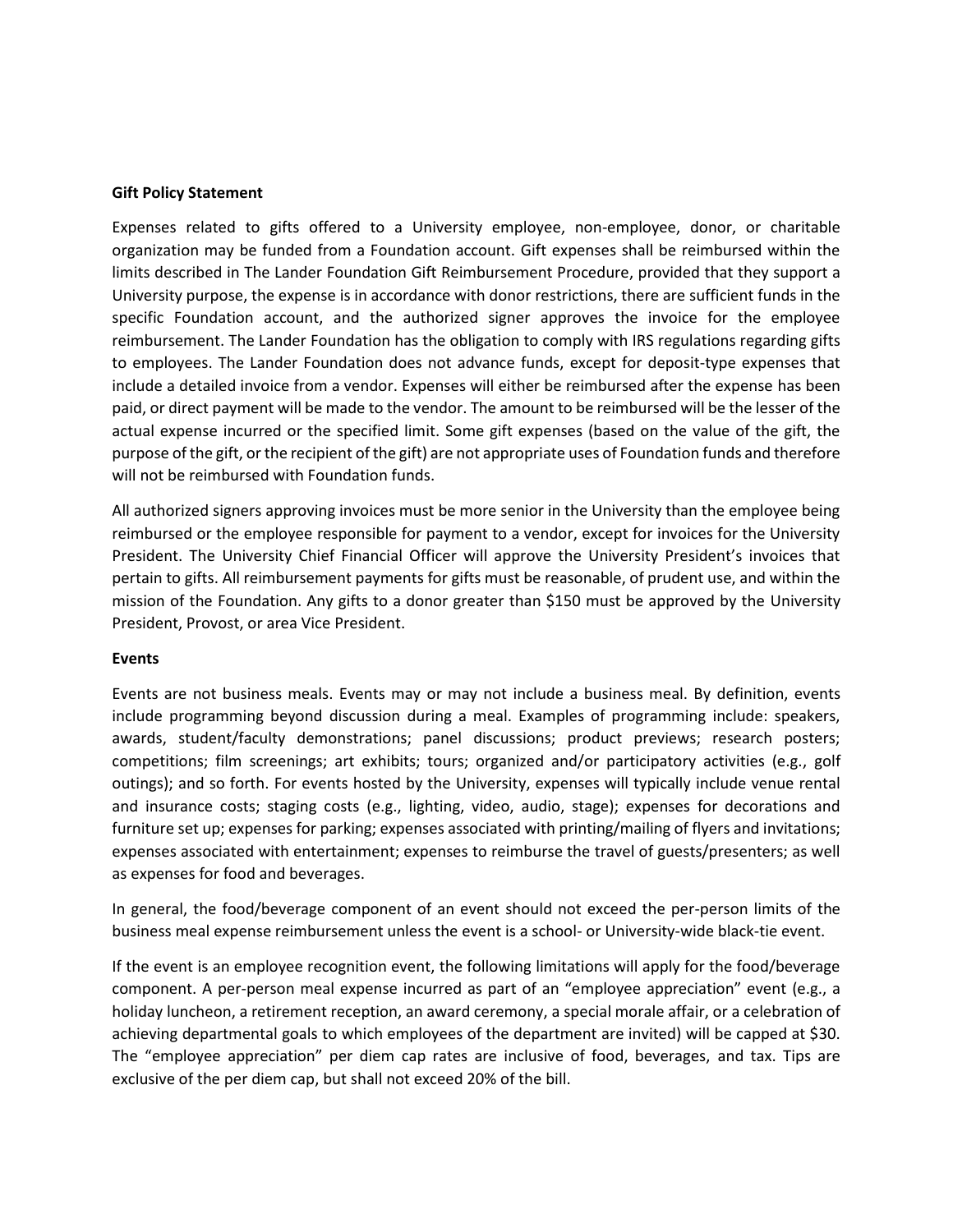#### **Gift Policy Statement**

Expenses related to gifts offered to a University employee, non-employee, donor, or charitable organization may be funded from a Foundation account. Gift expenses shall be reimbursed within the limits described in The Lander Foundation Gift Reimbursement Procedure, provided that they support a University purpose, the expense is in accordance with donor restrictions, there are sufficient funds in the specific Foundation account, and the authorized signer approves the invoice for the employee reimbursement. The Lander Foundation has the obligation to comply with IRS regulations regarding gifts to employees. The Lander Foundation does not advance funds, except for deposit-type expenses that include a detailed invoice from a vendor. Expenses will either be reimbursed after the expense has been paid, or direct payment will be made to the vendor. The amount to be reimbursed will be the lesser of the actual expense incurred or the specified limit. Some gift expenses (based on the value of the gift, the purpose of the gift, or the recipient of the gift) are not appropriate uses of Foundation funds and therefore will not be reimbursed with Foundation funds.

All authorized signers approving invoices must be more senior in the University than the employee being reimbursed or the employee responsible for payment to a vendor, except for invoices for the University President. The University Chief Financial Officer will approve the University President's invoices that pertain to gifts. All reimbursement payments for gifts must be reasonable, of prudent use, and within the mission of the Foundation. Any gifts to a donor greater than \$150 must be approved by the University President, Provost, or area Vice President.

#### **Events**

Events are not business meals. Events may or may not include a business meal. By definition, events include programming beyond discussion during a meal. Examples of programming include: speakers, awards, student/faculty demonstrations; panel discussions; product previews; research posters; competitions; film screenings; art exhibits; tours; organized and/or participatory activities (e.g., golf outings); and so forth. For events hosted by the University, expenses will typically include venue rental and insurance costs; staging costs (e.g., lighting, video, audio, stage); expenses for decorations and furniture set up; expenses for parking; expenses associated with printing/mailing of flyers and invitations; expenses associated with entertainment; expenses to reimburse the travel of guests/presenters; as well as expenses for food and beverages.

In general, the food/beverage component of an event should not exceed the per-person limits of the business meal expense reimbursement unless the event is a school- or University-wide black-tie event.

If the event is an employee recognition event, the following limitations will apply for the food/beverage component. A per-person meal expense incurred as part of an "employee appreciation" event (e.g., a holiday luncheon, a retirement reception, an award ceremony, a special morale affair, or a celebration of achieving departmental goals to which employees of the department are invited) will be capped at \$30. The "employee appreciation" per diem cap rates are inclusive of food, beverages, and tax. Tips are exclusive of the per diem cap, but shall not exceed 20% of the bill.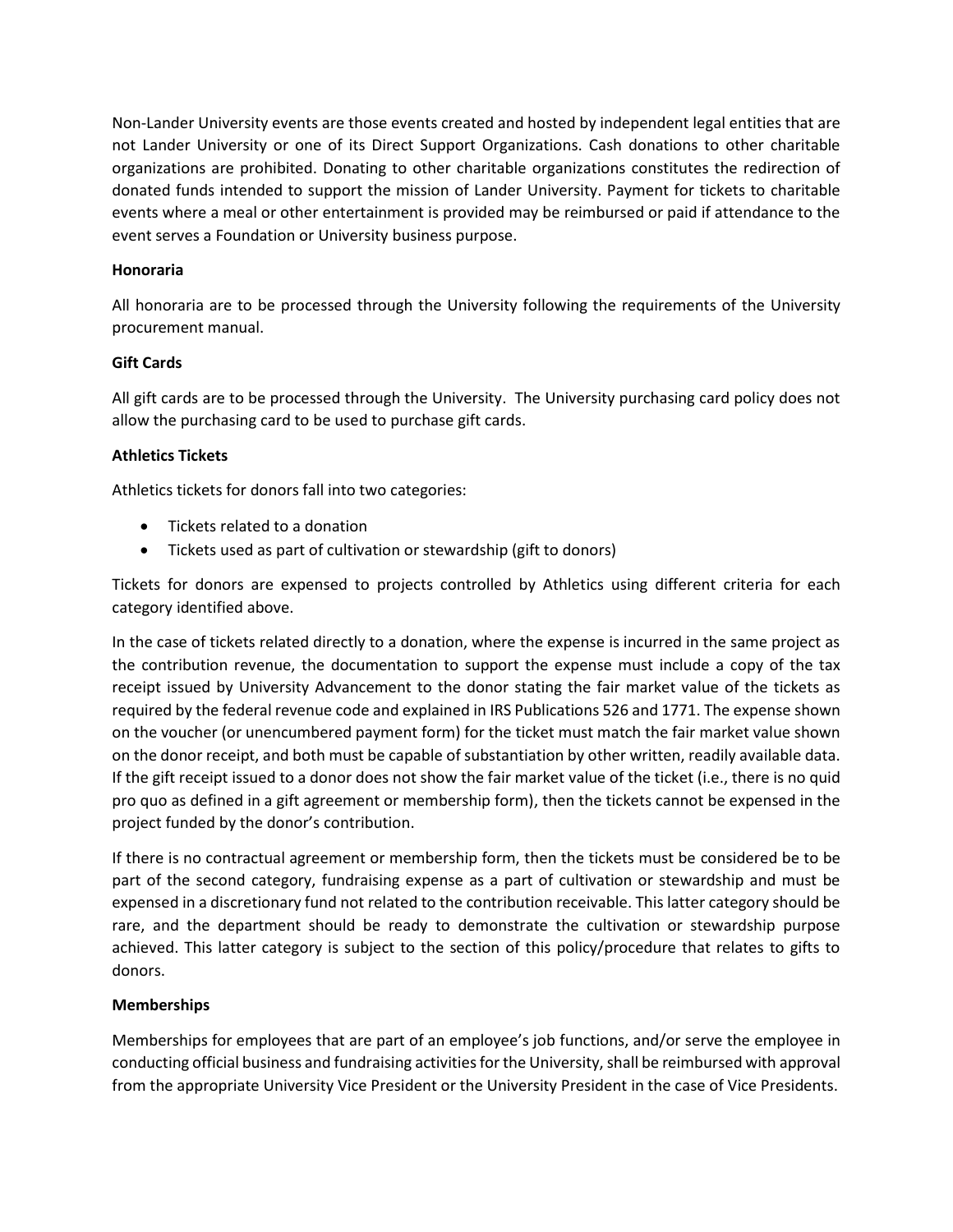Non-Lander University events are those events created and hosted by independent legal entities that are not Lander University or one of its Direct Support Organizations. Cash donations to other charitable organizations are prohibited. Donating to other charitable organizations constitutes the redirection of donated funds intended to support the mission of Lander University. Payment for tickets to charitable events where a meal or other entertainment is provided may be reimbursed or paid if attendance to the event serves a Foundation or University business purpose.

### **Honoraria**

All honoraria are to be processed through the University following the requirements of the University procurement manual.

# **Gift Cards**

All gift cards are to be processed through the University. The University purchasing card policy does not allow the purchasing card to be used to purchase gift cards.

# **Athletics Tickets**

Athletics tickets for donors fall into two categories:

- Tickets related to a donation
- Tickets used as part of cultivation or stewardship (gift to donors)

Tickets for donors are expensed to projects controlled by Athletics using different criteria for each category identified above.

In the case of tickets related directly to a donation, where the expense is incurred in the same project as the contribution revenue, the documentation to support the expense must include a copy of the tax receipt issued by University Advancement to the donor stating the fair market value of the tickets as required by the federal revenue code and explained in IRS Publications 526 and 1771. The expense shown on the voucher (or unencumbered payment form) for the ticket must match the fair market value shown on the donor receipt, and both must be capable of substantiation by other written, readily available data. If the gift receipt issued to a donor does not show the fair market value of the ticket (i.e., there is no quid pro quo as defined in a gift agreement or membership form), then the tickets cannot be expensed in the project funded by the donor's contribution.

If there is no contractual agreement or membership form, then the tickets must be considered be to be part of the second category, fundraising expense as a part of cultivation or stewardship and must be expensed in a discretionary fund not related to the contribution receivable. This latter category should be rare, and the department should be ready to demonstrate the cultivation or stewardship purpose achieved. This latter category is subject to the section of this policy/procedure that relates to gifts to donors.

#### **Memberships**

Memberships for employees that are part of an employee's job functions, and/or serve the employee in conducting official business and fundraising activities for the University, shall be reimbursed with approval from the appropriate University Vice President or the University President in the case of Vice Presidents.